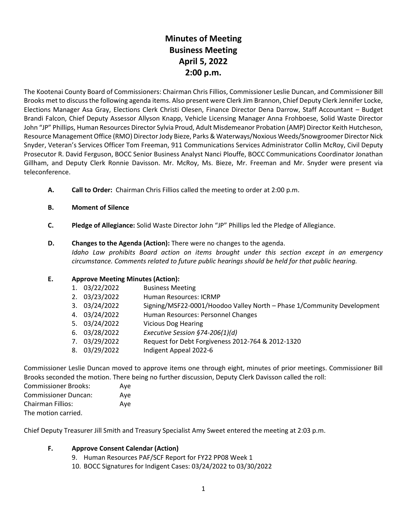# **Minutes of Meeting Business Meeting April 5, 2022 2:00 p.m.**

The Kootenai County Board of Commissioners: Chairman Chris Fillios, Commissioner Leslie Duncan, and Commissioner Bill Brooks met to discuss the following agenda items. Also present were Clerk Jim Brannon, Chief Deputy Clerk Jennifer Locke, Elections Manager Asa Gray, Elections Clerk Christi Olesen, Finance Director Dena Darrow, Staff Accountant – Budget Brandi Falcon, Chief Deputy Assessor Allyson Knapp, Vehicle Licensing Manager Anna Frohboese, Solid Waste Director John "JP" Phillips, Human Resources Director Sylvia Proud, Adult Misdemeanor Probation (AMP) Director Keith Hutcheson, Resource Management Office (RMO) Director Jody Bieze, Parks & Waterways/Noxious Weeds/Snowgroomer Director Nick Snyder, Veteran's Services Officer Tom Freeman, 911 Communications Services Administrator Collin McRoy, Civil Deputy Prosecutor R. David Ferguson, BOCC Senior Business Analyst Nanci Plouffe, BOCC Communications Coordinator Jonathan Gillham, and Deputy Clerk Ronnie Davisson. Mr. McRoy, Ms. Bieze, Mr. Freeman and Mr. Snyder were present via teleconference.

- **A. Call to Order:** Chairman Chris Fillios called the meeting to order at 2:00 p.m.
- **B. Moment of Silence**
- **C. Pledge of Allegiance:** Solid Waste Director John "JP" Phillips led the Pledge of Allegiance.
- **D. Changes to the Agenda (Action):** There were no changes to the agenda. *Idaho Law prohibits Board action on items brought under this section except in an emergency circumstance. Comments related to future public hearings should be held for that public hearing.*

### **E. Approve Meeting Minutes (Action):**

| 1. 03/22/2022 | <b>Business Meeting</b>                                                |
|---------------|------------------------------------------------------------------------|
| 2. 03/23/2022 | Human Resources: ICRMP                                                 |
| 3. 03/24/2022 | Signing/MSF22-0001/Hoodoo Valley North - Phase 1/Community Development |
| 4. 03/24/2022 | Human Resources: Personnel Changes                                     |
| 5. 03/24/2022 | <b>Vicious Dog Hearing</b>                                             |
| 6. 03/28/2022 | Executive Session §74-206(1)(d)                                        |
| 7. 03/29/2022 | Request for Debt Forgiveness 2012-764 & 2012-1320                      |
| 8. 03/29/2022 | Indigent Appeal 2022-6                                                 |
|               |                                                                        |

Commissioner Leslie Duncan moved to approve items one through eight, minutes of prior meetings. Commissioner Bill Brooks seconded the motion. There being no further discussion, Deputy Clerk Davisson called the roll:

Commissioner Brooks: Aye Commissioner Duncan: Aye Chairman Fillios: Aye The motion carried.

Chief Deputy Treasurer Jill Smith and Treasury Specialist Amy Sweet entered the meeting at 2:03 p.m.

### **F. Approve Consent Calendar (Action)**

- 9. Human Resources PAF/SCF Report for FY22 PP08 Week 1
- 10. BOCC Signatures for Indigent Cases: 03/24/2022 to 03/30/2022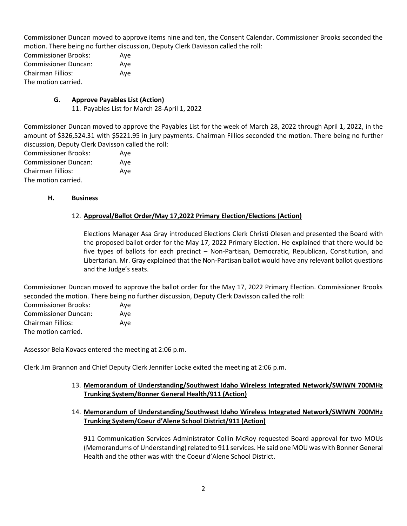Commissioner Duncan moved to approve items nine and ten, the Consent Calendar. Commissioner Brooks seconded the motion. There being no further discussion, Deputy Clerk Davisson called the roll:

Commissioner Brooks: Aye Commissioner Duncan: Aye Chairman Fillios: Aye The motion carried.

# **G. Approve Payables List (Action)**

11. Payables List for March 28-April 1, 2022

Commissioner Duncan moved to approve the Payables List for the week of March 28, 2022 through April 1, 2022, in the amount of \$326,524.31 with \$5221.95 in jury payments. Chairman Fillios seconded the motion. There being no further discussion, Deputy Clerk Davisson called the roll:

Commissioner Brooks: Aye Commissioner Duncan: Aye Chairman Fillios: Aye The motion carried.

### **H. Business**

# 12. **Approval/Ballot Order/May 17,2022 Primary Election/Elections (Action)**

Elections Manager Asa Gray introduced Elections Clerk Christi Olesen and presented the Board with the proposed ballot order for the May 17, 2022 Primary Election. He explained that there would be five types of ballots for each precinct – Non-Partisan, Democratic, Republican, Constitution, and Libertarian. Mr. Gray explained that the Non-Partisan ballot would have any relevant ballot questions and the Judge's seats.

Commissioner Duncan moved to approve the ballot order for the May 17, 2022 Primary Election. Commissioner Brooks seconded the motion. There being no further discussion, Deputy Clerk Davisson called the roll:

| <b>Commissioner Brooks:</b> | Ave |
|-----------------------------|-----|
| <b>Commissioner Duncan:</b> | Aye |
| <b>Chairman Fillios:</b>    | Aye |
| The motion carried.         |     |

Assessor Bela Kovacs entered the meeting at 2:06 p.m.

Clerk Jim Brannon and Chief Deputy Clerk Jennifer Locke exited the meeting at 2:06 p.m.

### 13. **Memorandum of Understanding/Southwest Idaho Wireless Integrated Network/SWIWN 700MHz Trunking System/Bonner General Health/911 (Action)**

14. **Memorandum of Understanding/Southwest Idaho Wireless Integrated Network/SWIWN 700MHz Trunking System/Coeur d'Alene School District/911 (Action)**

911 Communication Services Administrator Collin McRoy requested Board approval for two MOUs (Memorandums of Understanding) related to 911 services. He said one MOU was with Bonner General Health and the other was with the Coeur d'Alene School District.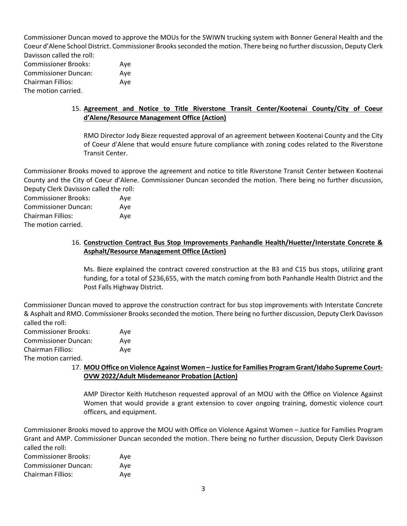Commissioner Duncan moved to approve the MOUs for the SWIWN trucking system with Bonner General Health and the Coeur d'Alene School District. Commissioner Brooks seconded the motion. There being no further discussion, Deputy Clerk Davisson called the roll:

Commissioner Brooks: Aye Commissioner Duncan: Aye Chairman Fillios: Aye The motion carried.

# 15. **Agreement and Notice to Title Riverstone Transit Center/Kootenai County/City of Coeur d'Alene/Resource Management Office (Action)**

RMO Director Jody Bieze requested approval of an agreement between Kootenai County and the City of Coeur d'Alene that would ensure future compliance with zoning codes related to the Riverstone Transit Center.

Commissioner Brooks moved to approve the agreement and notice to title Riverstone Transit Center between Kootenai County and the City of Coeur d'Alene. Commissioner Duncan seconded the motion. There being no further discussion, Deputy Clerk Davisson called the roll:

Commissioner Brooks: Aye Commissioner Duncan: Aye Chairman Fillios: Aye The motion carried.

# 16. **Construction Contract Bus Stop Improvements Panhandle Health/Huetter/Interstate Concrete & Asphalt/Resource Management Office (Action)**

Ms. Bieze explained the contract covered construction at the B3 and C15 bus stops, utilizing grant funding, for a total of \$236,655, with the match coming from both Panhandle Health District and the Post Falls Highway District.

Commissioner Duncan moved to approve the construction contract for bus stop improvements with Interstate Concrete & Asphalt and RMO. Commissioner Brooks seconded the motion. There being no further discussion, Deputy Clerk Davisson called the roll:

| <b>Commissioner Brooks:</b> | Aye |
|-----------------------------|-----|
| <b>Commissioner Duncan:</b> | Aye |
| Chairman Fillios:           | Ave |
| The motion carried.         |     |

# 17. **MOU Office on Violence Against Women – Justice for Families Program Grant/Idaho Supreme Court-OVW 2022/Adult Misdemeanor Probation (Action)**

AMP Director Keith Hutcheson requested approval of an MOU with the Office on Violence Against Women that would provide a grant extension to cover ongoing training, domestic violence court officers, and equipment.

Commissioner Brooks moved to approve the MOU with Office on Violence Against Women – Justice for Families Program Grant and AMP. Commissioner Duncan seconded the motion. There being no further discussion, Deputy Clerk Davisson called the roll:

| <b>Commissioner Brooks:</b> | Ave |
|-----------------------------|-----|
| <b>Commissioner Duncan:</b> | Ave |
| <b>Chairman Fillios:</b>    | Ave |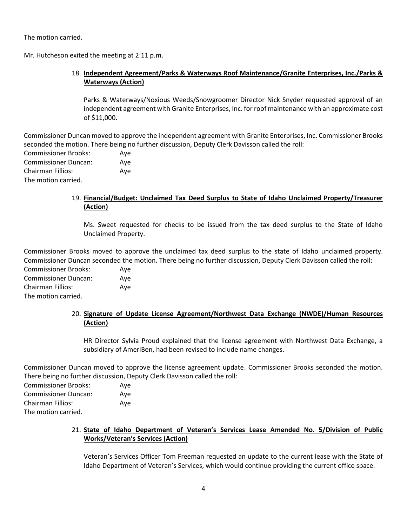The motion carried.

Mr. Hutcheson exited the meeting at 2:11 p.m.

# 18. **Independent Agreement/Parks & Waterways Roof Maintenance/Granite Enterprises, Inc./Parks & Waterways (Action)**

Parks & Waterways/Noxious Weeds/Snowgroomer Director Nick Snyder requested approval of an independent agreement with Granite Enterprises, Inc. for roof maintenance with an approximate cost of \$11,000.

Commissioner Duncan moved to approve the independent agreement with Granite Enterprises, Inc. Commissioner Brooks seconded the motion. There being no further discussion, Deputy Clerk Davisson called the roll: Commissioner Brooks: Aye Commissioner Duncan: Aye Chairman Fillios: Aye The motion carried.

# 19. **Financial/Budget: Unclaimed Tax Deed Surplus to State of Idaho Unclaimed Property/Treasurer (Action)**

Ms. Sweet requested for checks to be issued from the tax deed surplus to the State of Idaho Unclaimed Property.

Commissioner Brooks moved to approve the unclaimed tax deed surplus to the state of Idaho unclaimed property. Commissioner Duncan seconded the motion. There being no further discussion, Deputy Clerk Davisson called the roll: Commissioner Brooks: Aye

Commissioner Duncan: Aye Chairman Fillios: Aye The motion carried.

# 20. **Signature of Update License Agreement/Northwest Data Exchange (NWDE)/Human Resources (Action)**

HR Director Sylvia Proud explained that the license agreement with Northwest Data Exchange, a subsidiary of AmeriBen, had been revised to include name changes.

Commissioner Duncan moved to approve the license agreement update. Commissioner Brooks seconded the motion. There being no further discussion, Deputy Clerk Davisson called the roll:

| <b>Commissioner Brooks:</b> | Ave |
|-----------------------------|-----|
| Commissioner Duncan:        | Ave |
| Chairman Fillios:           | Ave |
| The motion carried.         |     |
|                             |     |

# 21. **State of Idaho Department of Veteran's Services Lease Amended No. 5/Division of Public Works/Veteran's Services (Action)**

Veteran's Services Officer Tom Freeman requested an update to the current lease with the State of Idaho Department of Veteran's Services, which would continue providing the current office space.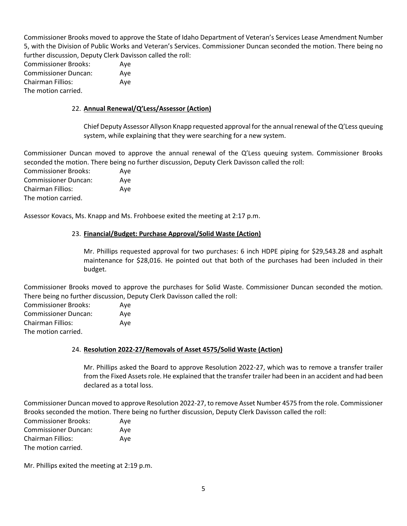Commissioner Brooks moved to approve the State of Idaho Department of Veteran's Services Lease Amendment Number 5, with the Division of Public Works and Veteran's Services. Commissioner Duncan seconded the motion. There being no further discussion, Deputy Clerk Davisson called the roll:

Commissioner Brooks: Aye Commissioner Duncan: Aye Chairman Fillios: Aye The motion carried.

# 22. **Annual Renewal/Q'Less/Assessor (Action)**

Chief Deputy Assessor Allyson Knapp requested approval for the annual renewal of the Q'Less queuing system, while explaining that they were searching for a new system.

Commissioner Duncan moved to approve the annual renewal of the Q'Less queuing system. Commissioner Brooks seconded the motion. There being no further discussion, Deputy Clerk Davisson called the roll: Commissioner Brooks: Aye Commissioner Duncan: Aye

Chairman Fillios: Aye The motion carried.

Assessor Kovacs, Ms. Knapp and Ms. Frohboese exited the meeting at 2:17 p.m.

# 23. **Financial/Budget: Purchase Approval/Solid Waste (Action)**

Mr. Phillips requested approval for two purchases: 6 inch HDPE piping for \$29,543.28 and asphalt maintenance for \$28,016. He pointed out that both of the purchases had been included in their budget.

Commissioner Brooks moved to approve the purchases for Solid Waste. Commissioner Duncan seconded the motion. There being no further discussion, Deputy Clerk Davisson called the roll:

| <b>Commissioner Brooks:</b> | Aye |
|-----------------------------|-----|
| <b>Commissioner Duncan:</b> | Ave |
| <b>Chairman Fillios:</b>    | Aye |
| The motion carried.         |     |

# 24. **Resolution 2022-27/Removals of Asset 4575/Solid Waste (Action)**

Mr. Phillips asked the Board to approve Resolution 2022-27, which was to remove a transfer trailer from the Fixed Assets role. He explained that the transfer trailer had been in an accident and had been declared as a total loss.

Commissioner Duncan moved to approve Resolution 2022-27, to remove Asset Number 4575 from the role. Commissioner Brooks seconded the motion. There being no further discussion, Deputy Clerk Davisson called the roll: Commissioner Brooks: Aye Commissioner Duncan: Aye Chairman Fillios: Aye The motion carried.

Mr. Phillips exited the meeting at 2:19 p.m.